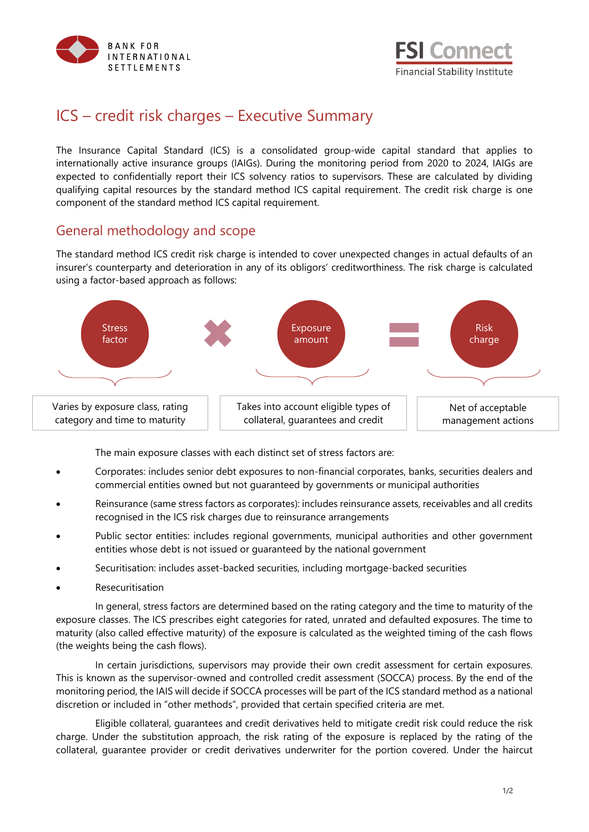



## ICS – credit risk charges – Executive Summary

The Insurance Capital Standard (ICS) is a consolidated group-wide capital standard that applies to internationally active insurance groups (IAIGs). During the monitoring period from 2020 to 2024, IAIGs are expected to confidentially report their ICS solvency ratios to supervisors. These are calculated by dividing qualifying capital resources by the standard method ICS capital requirement. The credit risk charge is one component of the standard method ICS capital requirement.

## General methodology and scope

The standard method ICS credit risk charge is intended to cover unexpected changes in actual defaults of an insurer's counterparty and deterioration in any of its obligors' creditworthiness. The risk charge is calculated using a factor-based approach as follows:



The main exposure classes with each distinct set of stress factors are:

- Corporates: includes senior debt exposures to non-financial corporates, banks, securities dealers and commercial entities owned but not guaranteed by governments or municipal authorities
- Reinsurance (same stress factors as corporates): includes reinsurance assets, receivables and all credits recognised in the ICS risk charges due to reinsurance arrangements
- Public sector entities: includes regional governments, municipal authorities and other government entities whose debt is not issued or guaranteed by the national government
- Securitisation: includes asset-backed securities, including mortgage-backed securities
- **Resecuritisation**

In general, stress factors are determined based on the rating category and the time to maturity of the exposure classes. The ICS prescribes eight categories for rated, unrated and defaulted exposures. The time to maturity (also called effective maturity) of the exposure is calculated as the weighted timing of the cash flows (the weights being the cash flows).

In certain jurisdictions, supervisors may provide their own credit assessment for certain exposures. This is known as the supervisor-owned and controlled credit assessment (SOCCA) process. By the end of the monitoring period, the IAIS will decide if SOCCA processes will be part of the ICS standard method as a national discretion or included in "other methods", provided that certain specified criteria are met.

Eligible collateral, guarantees and credit derivatives held to mitigate credit risk could reduce the risk charge. Under the substitution approach, the risk rating of the exposure is replaced by the rating of the collateral, guarantee provider or credit derivatives underwriter for the portion covered. Under the haircut